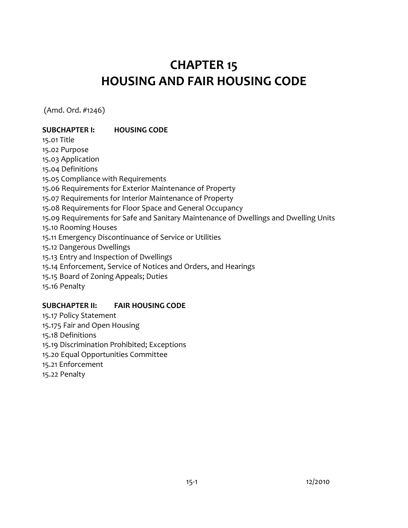# **CHAPTER 15 HOUSING AND FAIR HOUSING CODE**

(Amd. Ord. #1246)

# **SUBCHAPTER I: HOUSING CODE**

15.01 Title 15.02 Purpose [15.03 Application](#page-1-0)  [15.04 Definitions](#page-2-0)  15.05 Compliance with Requirements [15.06 Requirements for Exterior Maintenance of Property](#page-7-0)  [15.07 Requirements for Interior Maintenance of Property](#page-9-0)  [15.08 Requirements for Floor Space and General Occupancy](#page-11-0)  [15.09 Requirements for Safe and Sanitary Maintenance of Dwellings and Dwelling Units](#page-15-0)  [15.10 Rooming Houses](#page-16-0)  [15.11 Emergency Discontinuance of Service or Utilities](#page-18-0)  [15.12 Dangerous Dwellings](#page-19-0)  [15.13 Entry and Inspection of Dwellings](#page-20-0)  [15.14 Enforcement, Service of Notices and Orders, and Hearings](#page-21-0)  [15.15 Board of Zoning Appeals; Duties](#page-23-0)  [15.16 Penalty](#page-24-0) 

#### **SUBCHAPTER II: FAIR HOUSING CODE**

15.17 Policy Statement [15.175 Fair and Open Housing](#page-24-0)  15.18 Definitions [15.19 Discrimination Prohibited; Exceptions](#page-26-0)  [15.20 Equal Opportunities Committee](#page-27-0)  15.21 Enforcement 15.22 Penalty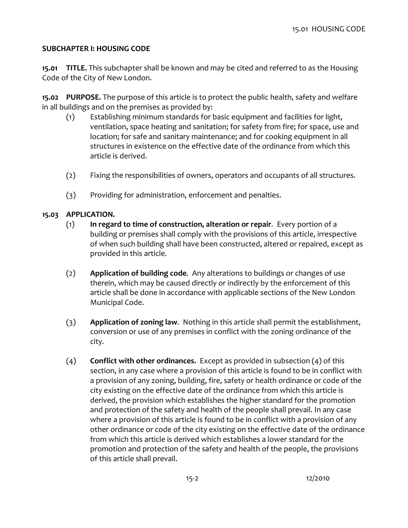#### <span id="page-1-0"></span>**SUBCHAPTER I: HOUSING CODE**

**15.01 TITLE.** This subchapter shall be known and may be cited and referred to as the Housing Code of the City of New London.

**15.02 PURPOSE.** The purpose of this article is to protect the public health, safety and welfare in all buildings and on the premises as provided by:

- (1) Establishing minimum standards for basic equipment and facilities for light, ventilation, space heating and sanitation; for safety from fire; for space, use and location; for safe and sanitary maintenance; and for cooking equipment in all structures in existence on the effective date of the ordinance from which this article is derived.
- (2) Fixing the responsibilities of owners, operators and occupants of all structures.
- (3) Providing for administration, enforcement and penalties.

## **15.03 APPLICATION.**

- (1) **In regard to time of construction, alteration or repair***.* Every portion of a building or premises shall comply with the provisions of this article, irrespective of when such building shall have been constructed, altered or repaired, except as provided in this article.
- (2) **Application of building code***.* Any alterations to buildings or changes of use therein, which may be caused directly or indirectly by the enforcement of this article shall be done in accordance with applicable sections of the New London Municipal Code.
- (3) **Application of zoning law***.* Nothing in this article shall permit the establishment, conversion or use of any premises in conflict with the zoning ordinance of the city.
- (4) **Conflict with other ordinances.** Except as provided in subsection (4) of this section, in any case where a provision of this article is found to be in conflict with a provision of any zoning, building, fire, safety or health ordinance or code of the city existing on the effective date of the ordinance from which this article is derived, the provision which establishes the higher standard for the promotion and protection of the safety and health of the people shall prevail. In any case where a provision of this article is found to be in conflict with a provision of any other ordinance or code of the city existing on the effective date of the ordinance from which this article is derived which establishes a lower standard for the promotion and protection of the safety and health of the people, the provisions of this article shall prevail.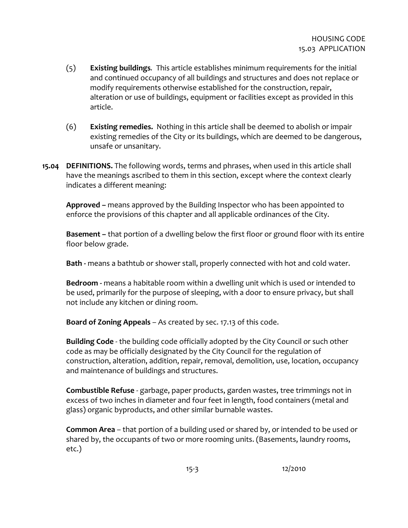- <span id="page-2-0"></span>(5) **Existing buildings***.* This article establishes minimum requirements for the initial and continued occupancy of all buildings and structures and does not replace or modify requirements otherwise established for the construction, repair, alteration or use of buildings, equipment or facilities except as provided in this article.
- (6)**Existing remedies.** Nothing in this article shall be deemed to abolish or impair existing remedies of the City or its buildings, which are deemed to be dangerous, unsafe or unsanitary.
- **15.04 DEFINITIONS.** The following words, terms and phrases, when used in this article shall have the meanings ascribed to them in this section, except where the context clearly indicates a different meaning:

**Approved –** means approved by the Building Inspector who has been appointed to enforce the provisions of this chapter and all applicable ordinances of the City.

**Basement –** that portion of a dwelling below the first floor or ground floor with its entire floor below grade.

**Bath -** means a bathtub or shower stall, properly connected with hot and cold water.

**Bedroom -** means a habitable room within a dwelling unit which is used or intended to be used, primarily for the purpose of sleeping, with a door to ensure privacy, but shall not include any kitchen or dining room.

**Board of Zoning Appeals** – As created by sec. 17.13 of this code.

**Building Code** - the building code officially adopted by the City Council or such other code as may be officially designated by the City Council for the regulation of construction, alteration, addition, repair, removal, demolition, use, location, occupancy and maintenance of buildings and structures.

**Combustible Refuse** - garbage, paper products, garden wastes, tree trimmings not in excess of two inches in diameter and four feet in length, food containers (metal and glass) organic byproducts, and other similar burnable wastes.

**Common Area** – that portion of a building used or shared by, or intended to be used or shared by, the occupants of two or more rooming units. (Basements, laundry rooms, etc.)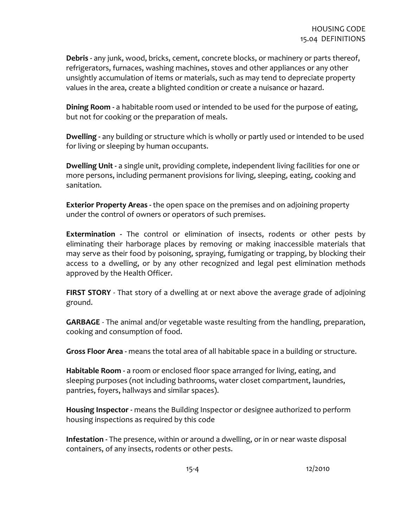**Debris -** any junk, wood, bricks, cement, concrete blocks, or machinery or parts thereof, refrigerators, furnaces, washing machines, stoves and other appliances or any other unsightly accumulation of items or materials, such as may tend to depreciate property values in the area, create a blighted condition or create a nuisance or hazard.

**Dining Room -** a habitable room used or intended to be used for the purpose of eating, but not for cooking or the preparation of meals.

**Dwelling -** any building or structure which is wholly or partly used or intended to be used for living or sleeping by human occupants.

**Dwelling Unit -** a single unit, providing complete, independent living facilities for one or more persons, including permanent provisions for living, sleeping, eating, cooking and sanitation.

**Exterior Property Areas -** the open space on the premises and on adjoining property under the control of owners or operators of such premises.

**Extermination -** The control or elimination of insects, rodents or other pests by eliminating their harborage places by removing or making inaccessible materials that may serve as their food by poisoning, spraying, fumigating or trapping, by blocking their access to a dwelling, or by any other recognized and legal pest elimination methods approved by the Health Officer.

**FIRST STORY** - That story of a dwelling at or next above the average grade of adjoining ground.

**GARBAGE** - The animal and/or vegetable waste resulting from the handling, preparation, cooking and consumption of food.

**Gross Floor Area -** means the total area of all habitable space in a building or structure.

**Habitable Room -** a room or enclosed floor space arranged for living, eating, and sleeping purposes (not including bathrooms, water closet compartment, laundries, pantries, foyers, hallways and similar spaces).

**Housing Inspector -** means the Building Inspector or designee authorized to perform housing inspections as required by this code

**Infestation -** The presence, within or around a dwelling, or in or near waste disposal containers, of any insects, rodents or other pests.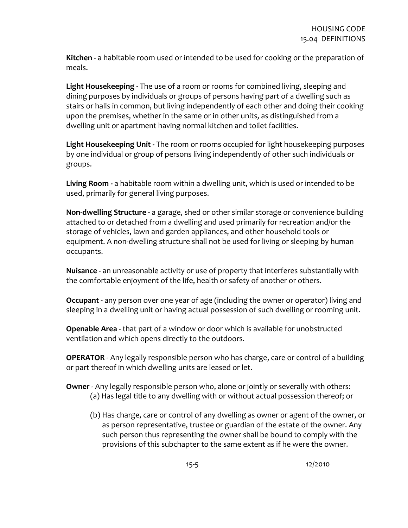**Kitchen -** a habitable room used or intended to be used for cooking or the preparation of meals.

**Light Housekeeping -** The use of a room or rooms for combined living, sleeping and dining purposes by individuals or groups of persons having part of a dwelling such as stairs or halls in common, but living independently of each other and doing their cooking upon the premises, whether in the same or in other units, as distinguished from a dwelling unit or apartment having normal kitchen and toilet facilities.

**Light Housekeeping Unit -** The room or rooms occupied for light housekeeping purposes by one individual or group of persons living independently of other such individuals or groups.

**Living Room -** a habitable room within a dwelling unit, which is used or intended to be used, primarily for general living purposes.

**Non-dwelling Structure -** a garage, shed or other similar storage or convenience building attached to or detached from a dwelling and used primarily for recreation and/or the storage of vehicles, lawn and garden appliances, and other household tools or equipment. A non-dwelling structure shall not be used for living or sleeping by human occupants.

**Nuisance -** an unreasonable activity or use of property that interferes substantially with the comfortable enjoyment of the life, health or safety of another or others.

**Occupant -** any person over one year of age (including the owner or operator) living and sleeping in a dwelling unit or having actual possession of such dwelling or rooming unit.

**Openable Area -** that part of a window or door which is available for unobstructed ventilation and which opens directly to the outdoors.

**OPERATOR** - Any legally responsible person who has charge, care or control of a building or part thereof in which dwelling units are leased or let.

#### **Owner** - Any legally responsible person who, alone or jointly or severally with others: (a) Has legal title to any dwelling with or without actual possession thereof; or

(b) Has charge, care or control of any dwelling as owner or agent of the owner, or as person representative, trustee or guardian of the estate of the owner. Any such person thus representing the owner shall be bound to comply with the provisions of this subchapter to the same extent as if he were the owner.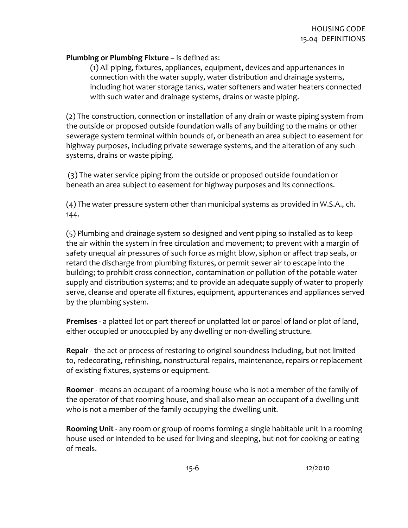#### **Plumbing or Plumbing Fixture –** is defined as:

(1) All piping, fixtures, appliances, equipment, devices and appurtenances in connection with the water supply, water distribution and drainage systems, including hot water storage tanks, water softeners and water heaters connected with such water and drainage systems, drains or waste piping.

(2) The construction, connection or installation of any drain or waste piping system from the outside or proposed outside foundation walls of any building to the mains or other sewerage system terminal within bounds of, or beneath an area subject to easement for highway purposes, including private sewerage systems, and the alteration of any such systems, drains or waste piping.

 (3) The water service piping from the outside or proposed outside foundation or beneath an area subject to easement for highway purposes and its connections.

(4) The water pressure system other than municipal systems as provided in W.S.A., ch. 144.

(5) Plumbing and drainage system so designed and vent piping so installed as to keep the air within the system in free circulation and movement; to prevent with a margin of safety unequal air pressures of such force as might blow, siphon or affect trap seals, or retard the discharge from plumbing fixtures, or permit sewer air to escape into the building; to prohibit cross connection, contamination or pollution of the potable water supply and distribution systems; and to provide an adequate supply of water to properly serve, cleanse and operate all fixtures, equipment, appurtenances and appliances served by the plumbing system.

**Premises** - a platted lot or part thereof or unplatted lot or parcel of land or plot of land, either occupied or unoccupied by any dwelling or non-dwelling structure.

**Repair** - the act or process of restoring to original soundness including, but not limited to, redecorating, refinishing, nonstructural repairs, maintenance, repairs or replacement of existing fixtures, systems or equipment.

**Roomer** - means an occupant of a rooming house who is not a member of the family of the operator of that rooming house, and shall also mean an occupant of a dwelling unit who is not a member of the family occupying the dwelling unit.

**Rooming Unit -** any room or group of rooms forming a single habitable unit in a rooming house used or intended to be used for living and sleeping, but not for cooking or eating of meals.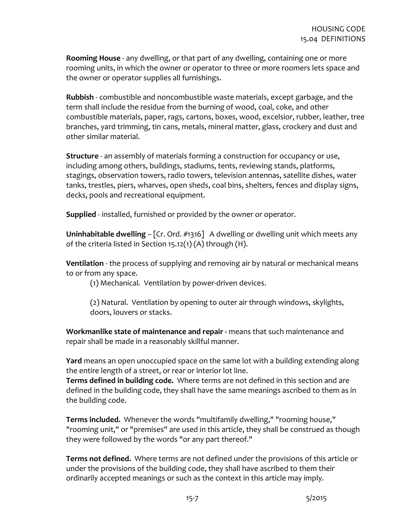**Rooming House** - any dwelling, or that part of any dwelling, containing one or more rooming units, in which the owner or operator to three or more roomers lets space and the owner or operator supplies all furnishings.

**Rubbish** - combustible and noncombustible waste materials, except garbage, and the term shall include the residue from the burning of wood, coal, coke, and other combustible materials, paper, rags, cartons, boxes, wood, excelsior, rubber, leather, tree branches, yard trimming, tin cans, metals, mineral matter, glass, crockery and dust and other similar material.

**Structure** - an assembly of materials forming a construction for occupancy or use, including among others, buildings, stadiums, tents, reviewing stands, platforms, stagings, observation towers, radio towers, television antennas, satellite dishes, water tanks, trestles, piers, wharves, open sheds, coal bins, shelters, fences and display signs, decks, pools and recreational equipment.

**Supplied** - installed, furnished or provided by the owner or operator.

**Uninhabitable dwelling** – [Cr. Ord. #1316] A dwelling or dwelling unit which meets any of the criteria listed in Section 15.12(1) (A) through (H).

**Ventilation** - the process of supplying and removing air by natural or mechanical means to or from any space.

(1) Mechanical*.* Ventilation by power-driven devices.

(2) Natural. Ventilation by opening to outer air through windows, skylights, doors, louvers or stacks.

**Workmanlike state of maintenance and repair -** means that such maintenance and repair shall be made in a reasonably skillful manner.

**Yard** means an open unoccupied space on the same lot with a building extending along the entire length of a street, or rear or interior lot line.

**Terms defined in building code.** Where terms are not defined in this section and are defined in the building code, they shall have the same meanings ascribed to them as in the building code.

**Terms included.** Whenever the words "multifamily dwelling," "rooming house," "rooming unit," or "premises" are used in this article, they shall be construed as though they were followed by the words "or any part thereof."

**Terms not defined.** Where terms are not defined under the provisions of this article or under the provisions of the building code, they shall have ascribed to them their ordinarily accepted meanings or such as the context in this article may imply.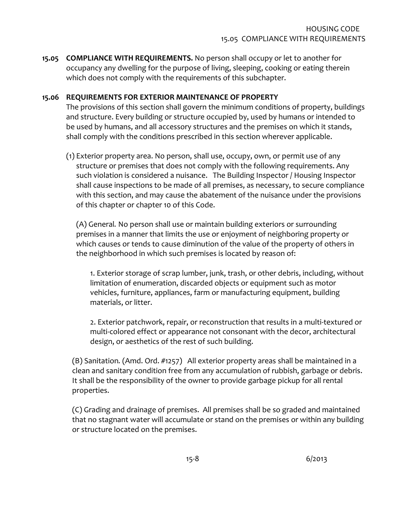<span id="page-7-0"></span>**15.05 COMPLIANCE WITH REQUIREMENTS.** No person shall occupy or let to another for occupancy any dwelling for the purpose of living, sleeping, cooking or eating therein which does not comply with the requirements of this subchapter.

#### **15.06 REQUIREMENTS FOR EXTERIOR MAINTENANCE OF PROPERTY**

The provisions of this section shall govern the minimum conditions of property, buildings and structure. Every building or structure occupied by, used by humans or intended to be used by humans, and all accessory structures and the premises on which it stands, shall comply with the conditions prescribed in this section wherever applicable.

(1) Exterior property area. No person, shall use, occupy, own, or permit use of any structure or premises that does not comply with the following requirements. Any such violation is considered a nuisance. The Building Inspector / Housing Inspector shall cause inspections to be made of all premises, as necessary, to secure compliance with this section, and may cause the abatement of the nuisance under the provisions of this chapter or chapter 10 of this Code.

(A) General*.* No person shall use or maintain building exteriors or surrounding premises in a manner that limits the use or enjoyment of neighboring property or which causes or tends to cause diminution of the value of the property of others in the neighborhood in which such premises is located by reason of:

1. Exterior storage of scrap lumber, junk, trash, or other debris, including, without limitation of enumeration, discarded objects or equipment such as motor vehicles, furniture, appliances, farm or manufacturing equipment, building materials, or litter.

2. Exterior patchwork, repair, or reconstruction that results in a multi-textured or multi-colored effect or appearance not consonant with the decor, architectural design, or aesthetics of the rest of such building.

(B) Sanitation*.* (Amd. Ord. #1257) All exterior property areas shall be maintained in a clean and sanitary condition free from any accumulation of rubbish, garbage or debris. It shall be the responsibility of the owner to provide garbage pickup for all rental properties.

(C) Grading and drainage of premises. All premises shall be so graded and maintained that no stagnant water will accumulate or stand on the premises or within any building or structure located on the premises.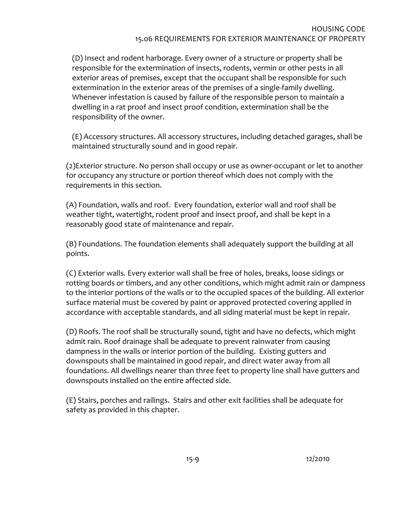(D) Insect and rodent harborage. Every owner of a structure or property shall be responsible for the extermination of insects, rodents, vermin or other pests in all exterior areas of premises, except that the occupant shall be responsible for such extermination in the exterior areas of the premises of a single-family dwelling. Whenever infestation is caused by failure of the responsible person to maintain a dwelling in a rat proof and insect proof condition, extermination shall be the responsibility of the owner.

(E) Accessory structures. All accessory structures, including detached garages, shall be maintained structurally sound and in good repair.

(2)Exterior structure. No person shall occupy or use as owner-occupant or let to another for occupancy any structure or portion thereof which does not comply with the requirements in this section.

(A) Foundation, walls and roof*.* Every foundation, exterior wall and roof shall be weather tight, watertight, rodent proof and insect proof, and shall be kept in a reasonably good state of maintenance and repair.

(B) Foundations*.* The foundation elements shall adequately support the building at all points.

(C) Exterior walls*.* Every exterior wall shall be free of holes, breaks, loose sidings or rotting boards or timbers, and any other conditions, which might admit rain or dampness to the interior portions of the walls or to the occupied spaces of the building. All exterior surface material must be covered by paint or approved protected covering applied in accordance with acceptable standards, and all siding material must be kept in repair.

(D) Roofs. The roof shall be structurally sound, tight and have no defects, which might admit rain. Roof drainage shall be adequate to prevent rainwater from causing dampness in the walls or interior portion of the building. Existing gutters and downspouts shall be maintained in good repair, and direct water away from all foundations. All dwellings nearer than three feet to property line shall have gutters and downspouts installed on the entire affected side.

(E) Stairs, porches and railings. Stairs and other exit facilities shall be adequate for safety as provided in this chapter.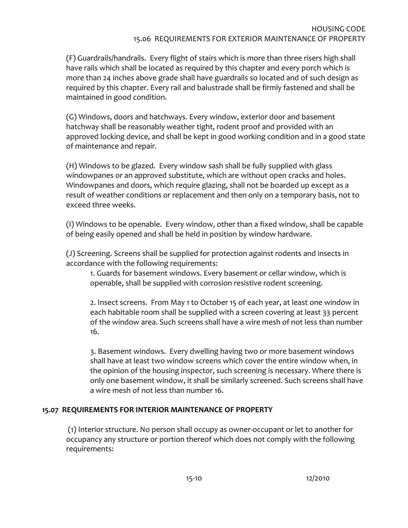<span id="page-9-0"></span>(F) Guardrails/handrails. Every flight of stairs which is more than three risers high shall have rails which shall be located as required by this chapter and every porch which is more than 24 inches above grade shall have guardrails so located and of such design as required by this chapter. Every rail and balustrade shall be firmly fastened and shall be maintained in good condition.

(G) Windows, doors and hatchways. Every window, exterior door and basement hatchway shall be reasonably weather tight, rodent proof and provided with an approved locking device, and shall be kept in good working condition and in a good state of maintenance and repair.

(H) Windows to be glazed*.* Every window sash shall be fully supplied with glass windowpanes or an approved substitute, which are without open cracks and holes. Windowpanes and doors, which require glazing, shall not be boarded up except as a result of weather conditions or replacement and then only on a temporary basis, not to exceed three weeks.

(I) Windows to be openable. Every window, other than a fixed window, shall be capable of being easily opened and shall be held in position by window hardware.

(J) Screening. Screens shall be supplied for protection against rodents and insects in accordance with the following requirements:

1. Guards for basement windows. Every basement or cellar window, which is openable, shall be supplied with corrosion resistive rodent screening.

2. Insect screens. From May 1 to October 15 of each year, at least one window in each habitable room shall be supplied with a screen covering at least 33 percent of the window area. Such screens shall have a wire mesh of not less than number 16.

3. Basement windows. Every dwelling having two or more basement windows shall have at least two window screens which cover the entire window when, in the opinion of the housing inspector, such screening is necessary. Where there is only one basement window, it shall be similarly screened. Such screens shall have a wire mesh of not less than number 16.

#### **15.07 REQUIREMENTS FOR INTERIOR MAINTENANCE OF PROPERTY**

 (1) Interior structure. No person shall occupy as owner-occupant or let to another for occupancy any structure or portion thereof which does not comply with the following requirements: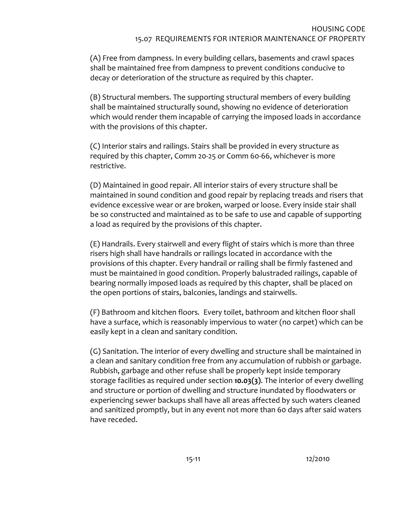(A) Free from dampness. In every building cellars, basements and crawl spaces shall be maintained free from dampness to prevent conditions conducive to decay or deterioration of the structure as required by this chapter.

(B) Structural members. The supporting structural members of every building shall be maintained structurally sound, showing no evidence of deterioration which would render them incapable of carrying the imposed loads in accordance with the provisions of this chapter.

(C) Interior stairs and railings. Stairs shall be provided in every structure as required by this chapter, Comm 20-25 or Comm 60-66, whichever is more restrictive.

(D) Maintained in good repair. All interior stairs of every structure shall be maintained in sound condition and good repair by replacing treads and risers that evidence excessive wear or are broken, warped or loose. Every inside stair shall be so constructed and maintained as to be safe to use and capable of supporting a load as required by the provisions of this chapter.

(E) Handrails. Every stairwell and every flight of stairs which is more than three risers high shall have handrails or railings located in accordance with the provisions of this chapter. Every handrail or railing shall be firmly fastened and must be maintained in good condition. Properly balustraded railings, capable of bearing normally imposed loads as required by this chapter, shall be placed on the open portions of stairs, balconies, landings and stairwells.

(F) Bathroom and kitchen floors*.* Every toilet, bathroom and kitchen floor shall have a surface, which is reasonably impervious to water (no carpet) which can be easily kept in a clean and sanitary condition.

(G) Sanitation. The interior of every dwelling and structure shall be maintained in a clean and sanitary condition free from any accumulation of rubbish or garbage. Rubbish, garbage and other refuse shall be properly kept inside temporary storage facilities as required under section **10.03(3)**. The interior of every dwelling and structure or portion of dwelling and structure inundated by floodwaters or experiencing sewer backups shall have all areas affected by such waters cleaned and sanitized promptly, but in any event not more than 60 days after said waters have receded.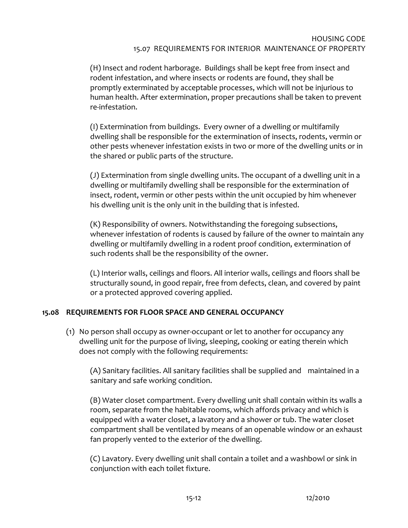<span id="page-11-0"></span>(H) Insect and rodent harborage. Buildings shall be kept free from insect and rodent infestation, and where insects or rodents are found, they shall be promptly exterminated by acceptable processes, which will not be injurious to human health. After extermination, proper precautions shall be taken to prevent re-infestation.

(I) Extermination from buildings. Every owner of a dwelling or multifamily dwelling shall be responsible for the extermination of insects, rodents, vermin or other pests whenever infestation exists in two or more of the dwelling units or in the shared or public parts of the structure.

(J) Extermination from single dwelling units. The occupant of a dwelling unit in a dwelling or multifamily dwelling shall be responsible for the extermination of insect, rodent, vermin or other pests within the unit occupied by him whenever his dwelling unit is the only unit in the building that is infested.

(K) Responsibility of owners. Notwithstanding the foregoing subsections, whenever infestation of rodents is caused by failure of the owner to maintain any dwelling or multifamily dwelling in a rodent proof condition, extermination of such rodents shall be the responsibility of the owner.

(L) Interior walls, ceilings and floors. All interior walls, ceilings and floors shall be structurally sound, in good repair, free from defects, clean, and covered by paint or a protected approved covering applied.

# **15.08 REQUIREMENTS FOR FLOOR SPACE AND GENERAL OCCUPANCY**

(1) No person shall occupy as owner-occupant or let to another for occupancy any dwelling unit for the purpose of living, sleeping, cooking or eating therein which does not comply with the following requirements:

(A) Sanitary facilities. All sanitary facilities shall be supplied and maintained in a sanitary and safe working condition.

(B) Water closet compartment. Every dwelling unit shall contain within its walls a room, separate from the habitable rooms, which affords privacy and which is equipped with a water closet, a lavatory and a shower or tub. The water closet compartment shall be ventilated by means of an openable window or an exhaust fan properly vented to the exterior of the dwelling.

(C) Lavatory. Every dwelling unit shall contain a toilet and a washbowl or sink in conjunction with each toilet fixture.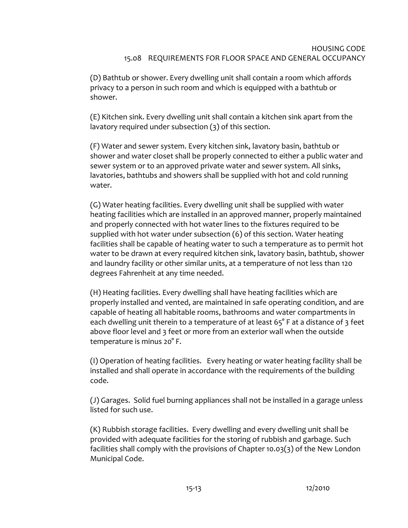#### HOUSING CODE 15.08 REQUIREMENTS FOR FLOOR SPACE AND GENERAL OCCUPANCY

(D) Bathtub or shower. Every dwelling unit shall contain a room which affords privacy to a person in such room and which is equipped with a bathtub or shower.

(E) Kitchen sink. Every dwelling unit shall contain a kitchen sink apart from the lavatory required under subsection (3) of this section.

(F) Water and sewer system. Every kitchen sink, lavatory basin, bathtub or shower and water closet shall be properly connected to either a public water and sewer system or to an approved private water and sewer system. All sinks, lavatories, bathtubs and showers shall be supplied with hot and cold running water.

(G) Water heating facilities. Every dwelling unit shall be supplied with water heating facilities which are installed in an approved manner, properly maintained and properly connected with hot water lines to the fixtures required to be supplied with hot water under subsection (6) of this section. Water heating facilities shall be capable of heating water to such a temperature as to permit hot water to be drawn at every required kitchen sink, lavatory basin, bathtub, shower and laundry facility or other similar units, at a temperature of not less than 120 degrees Fahrenheit at any time needed.

(H) Heating facilities. Every dwelling shall have heating facilities which are properly installed and vented, are maintained in safe operating condition, and are capable of heating all habitable rooms, bathrooms and water compartments in each dwelling unit therein to a temperature of at least 65° F at a distance of 3 feet above floor level and 3 feet or more from an exterior wall when the outside temperature is minus 20° F.

(I) Operation of heating facilities. Every heating or water heating facility shall be installed and shall operate in accordance with the requirements of the building code.

(J) Garages. Solid fuel burning appliances shall not be installed in a garage unless listed for such use.

(K) Rubbish storage facilities. Every dwelling and every dwelling unit shall be provided with adequate facilities for the storing of rubbish and garbage. Such facilities shall comply with the provisions of Chapter 10.03(3) of the New London Municipal Code.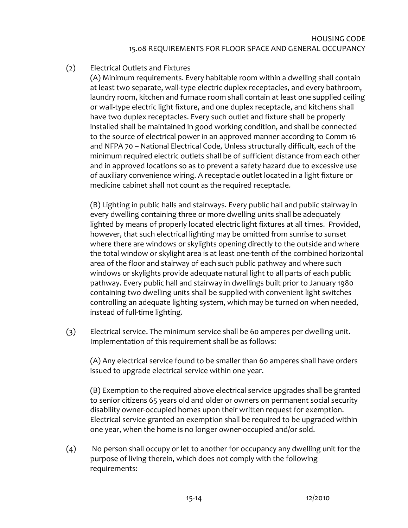# (2) Electrical Outlets and Fixtures

(A) Minimum requirements. Every habitable room within a dwelling shall contain at least two separate, wall-type electric duplex receptacles, and every bathroom, laundry room, kitchen and furnace room shall contain at least one supplied ceiling or wall-type electric light fixture, and one duplex receptacle, and kitchens shall have two duplex receptacles. Every such outlet and fixture shall be properly installed shall be maintained in good working condition, and shall be connected to the source of electrical power in an approved manner according to Comm 16 and NFPA 70 – National Electrical Code, Unless structurally difficult, each of the minimum required electric outlets shall be of sufficient distance from each other and in approved locations so as to prevent a safety hazard due to excessive use of auxiliary convenience wiring. A receptacle outlet located in a light fixture or medicine cabinet shall not count as the required receptacle.

(B) Lighting in public halls and stairways. Every public hall and public stairway in every dwelling containing three or more dwelling units shall be adequately lighted by means of properly located electric light fixtures at all times. Provided, however, that such electrical lighting may be omitted from sunrise to sunset where there are windows or skylights opening directly to the outside and where the total window or skylight area is at least one-tenth of the combined horizontal area of the floor and stairway of each such public pathway and where such windows or skylights provide adequate natural light to all parts of each public pathway. Every public hall and stairway in dwellings built prior to January 1980 containing two dwelling units shall be supplied with convenient light switches controlling an adequate lighting system, which may be turned on when needed, instead of full-time lighting.

(3) Electrical service. The minimum service shall be 60 amperes per dwelling unit. Implementation of this requirement shall be as follows:

(A) Any electrical service found to be smaller than 60 amperes shall have orders issued to upgrade electrical service within one year.

(B) Exemption to the required above electrical service upgrades shall be granted to senior citizens 65 years old and older or owners on permanent social security disability owner-occupied homes upon their written request for exemption. Electrical service granted an exemption shall be required to be upgraded within one year, when the home is no longer owner-occupied and/or sold.

(4) No person shall occupy or let to another for occupancy any dwelling unit for the purpose of living therein, which does not comply with the following requirements: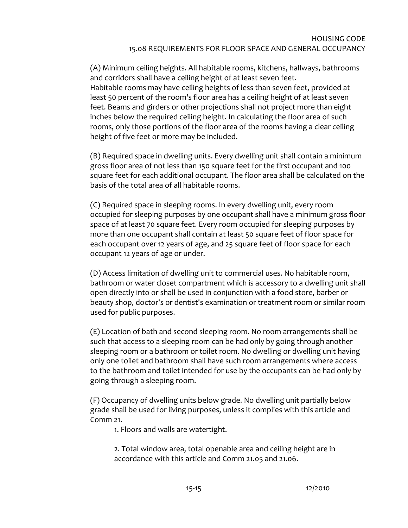(A) Minimum ceiling heights. All habitable rooms, kitchens, hallways, bathrooms and corridors shall have a ceiling height of at least seven feet. Habitable rooms may have ceiling heights of less than seven feet, provided at least 50 percent of the room's floor area has a ceiling height of at least seven feet. Beams and girders or other projections shall not project more than eight inches below the required ceiling height. In calculating the floor area of such rooms, only those portions of the floor area of the rooms having a clear ceiling height of five feet or more may be included.

(B) Required space in dwelling units. Every dwelling unit shall contain a minimum gross floor area of not less than 150 square feet for the first occupant and 100 square feet for each additional occupant. The floor area shall be calculated on the basis of the total area of all habitable rooms.

(C) Required space in sleeping rooms. In every dwelling unit, every room occupied for sleeping purposes by one occupant shall have a minimum gross floor space of at least 70 square feet. Every room occupied for sleeping purposes by more than one occupant shall contain at least 50 square feet of floor space for each occupant over 12 years of age, and 25 square feet of floor space for each occupant 12 years of age or under.

(D) Access limitation of dwelling unit to commercial uses. No habitable room, bathroom or water closet compartment which is accessory to a dwelling unit shall open directly into or shall be used in conjunction with a food store, barber or beauty shop, doctor's or dentist's examination or treatment room or similar room used for public purposes.

(E) Location of bath and second sleeping room. No room arrangements shall be such that access to a sleeping room can be had only by going through another sleeping room or a bathroom or toilet room. No dwelling or dwelling unit having only one toilet and bathroom shall have such room arrangements where access to the bathroom and toilet intended for use by the occupants can be had only by going through a sleeping room.

(F) Occupancy of dwelling units below grade. No dwelling unit partially below grade shall be used for living purposes, unless it complies with this article and Comm 21.

1. Floors and walls are watertight.

2. Total window area, total openable area and ceiling height are in accordance with this article and Comm 21.05 and 21.06.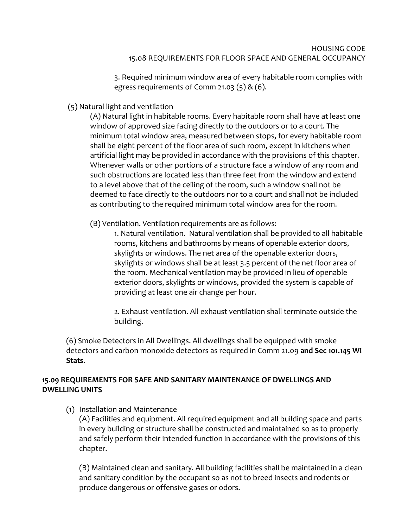#### HOUSING CODE 15.08 REQUIREMENTS FOR FLOOR SPACE AND GENERAL OCCUPANCY

3. Required minimum window area of every habitable room complies with egress requirements of Comm 21.03  $(5)$  &  $(6)$ .

<span id="page-15-0"></span>(5) Natural light and ventilation

(A) Natural light in habitable rooms. Every habitable room shall have at least one window of approved size facing directly to the outdoors or to a court. The minimum total window area, measured between stops, for every habitable room shall be eight percent of the floor area of such room, except in kitchens when artificial light may be provided in accordance with the provisions of this chapter. Whenever walls or other portions of a structure face a window of any room and such obstructions are located less than three feet from the window and extend to a level above that of the ceiling of the room, such a window shall not be deemed to face directly to the outdoors nor to a court and shall not be included as contributing to the required minimum total window area for the room.

(B) Ventilation. Ventilation requirements are as follows:

1. Natural ventilation. Natural ventilation shall be provided to all habitable rooms, kitchens and bathrooms by means of openable exterior doors, skylights or windows. The net area of the openable exterior doors, skylights or windows shall be at least 3.5 percent of the net floor area of the room. Mechanical ventilation may be provided in lieu of openable exterior doors, skylights or windows, provided the system is capable of providing at least one air change per hour.

2. Exhaust ventilation. All exhaust ventilation shall terminate outside the building.

(6) Smoke Detectors in All Dwellings. All dwellings shall be equipped with smoke detectors and carbon monoxide detectors as required in Comm 21.09 **and Sec 101.145 WI Stats**.

# **15.09 REQUIREMENTS FOR SAFE AND SANITARY MAINTENANCE OF DWELLINGS AND DWELLING UNITS**

(1) Installation and Maintenance

(A) Facilities and equipment. All required equipment and all building space and parts in every building or structure shall be constructed and maintained so as to properly and safely perform their intended function in accordance with the provisions of this chapter.

(B) Maintained clean and sanitary. All building facilities shall be maintained in a clean and sanitary condition by the occupant so as not to breed insects and rodents or produce dangerous or offensive gases or odors.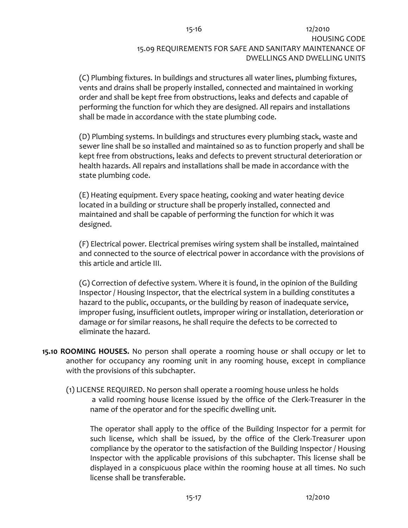# 15-16 12/2010 HOUSING CODE 15.09 REQUIREMENTS FOR SAFE AND SANITARY MAINTENANCE OF DWELLINGS AND DWELLING UNITS

<span id="page-16-0"></span>(C) Plumbing fixtures. In buildings and structures all water lines, plumbing fixtures, vents and drains shall be properly installed, connected and maintained in working order and shall be kept free from obstructions, leaks and defects and capable of performing the function for which they are designed. All repairs and installations shall be made in accordance with the state plumbing code.

(D) Plumbing systems. In buildings and structures every plumbing stack, waste and sewer line shall be so installed and maintained so as to function properly and shall be kept free from obstructions, leaks and defects to prevent structural deterioration or health hazards. All repairs and installations shall be made in accordance with the state plumbing code.

(E) Heating equipment. Every space heating, cooking and water heating device located in a building or structure shall be properly installed, connected and maintained and shall be capable of performing the function for which it was designed.

(F) Electrical power. Electrical premises wiring system shall be installed, maintained and connected to the source of electrical power in accordance with the provisions of this article and article III.

(G) Correction of defective system. Where it is found, in the opinion of the Building Inspector / Housing Inspector, that the electrical system in a building constitutes a hazard to the public, occupants, or the building by reason of inadequate service, improper fusing, insufficient outlets, improper wiring or installation, deterioration or damage or for similar reasons, he shall require the defects to be corrected to eliminate the hazard.

- **15.10 ROOMING HOUSES.** No person shall operate a rooming house or shall occupy or let to another for occupancy any rooming unit in any rooming house, except in compliance with the provisions of this subchapter.
	- (1) LICENSE REQUIRED. No person shall operate a rooming house unless he holds a valid rooming house license issued by the office of the Clerk-Treasurer in the name of the operator and for the specific dwelling unit.

The operator shall apply to the office of the Building Inspector for a permit for such license, which shall be issued, by the office of the Clerk-Treasurer upon compliance by the operator to the satisfaction of the Building Inspector / Housing Inspector with the applicable provisions of this subchapter. This license shall be displayed in a conspicuous place within the rooming house at all times. No such license shall be transferable.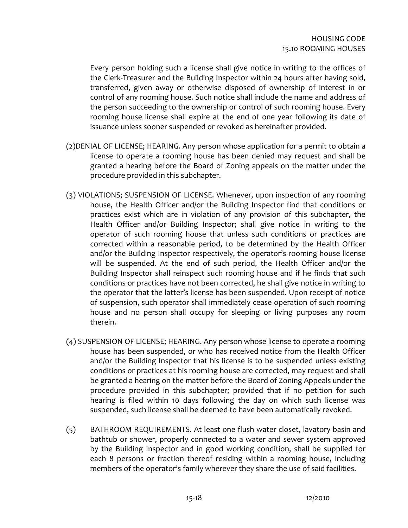Every person holding such a license shall give notice in writing to the offices of the Clerk-Treasurer and the Building Inspector within 24 hours after having sold, transferred, given away or otherwise disposed of ownership of interest in or control of any rooming house. Such notice shall include the name and address of the person succeeding to the ownership or control of such rooming house. Every rooming house license shall expire at the end of one year following its date of issuance unless sooner suspended or revoked as hereinafter provided.

- (2)DENIAL OF LICENSE; HEARING. Any person whose application for a permit to obtain a license to operate a rooming house has been denied may request and shall be granted a hearing before the Board of Zoning appeals on the matter under the procedure provided in this subchapter.
- (3) VIOLATIONS; SUSPENSION OF LICENSE. Whenever, upon inspection of any rooming house, the Health Officer and/or the Building Inspector find that conditions or practices exist which are in violation of any provision of this subchapter, the Health Officer and/or Building Inspector; shall give notice in writing to the operator of such rooming house that unless such conditions or practices are corrected within a reasonable period, to be determined by the Health Officer and/or the Building Inspector respectively, the operator's rooming house license will be suspended. At the end of such period, the Health Officer and/or the Building Inspector shall reinspect such rooming house and if he finds that such conditions or practices have not been corrected, he shall give notice in writing to the operator that the latter's license has been suspended. Upon receipt of notice of suspension, such operator shall immediately cease operation of such rooming house and no person shall occupy for sleeping or living purposes any room therein.
- (4) SUSPENSION OF LICENSE; HEARING. Any person whose license to operate a rooming house has been suspended, or who has received notice from the Health Officer and/or the Building Inspector that his license is to be suspended unless existing conditions or practices at his rooming house are corrected, may request and shall be granted a hearing on the matter before the Board of Zoning Appeals under the procedure provided in this subchapter; provided that if no petition for such hearing is filed within 10 days following the day on which such license was suspended, such license shall be deemed to have been automatically revoked.
- (5) BATHROOM REQUIREMENTS. At least one flush water closet, lavatory basin and bathtub or shower, properly connected to a water and sewer system approved by the Building Inspector and in good working condition, shall be supplied for each 8 persons or fraction thereof residing within a rooming house, including members of the operator's family wherever they share the use of said facilities.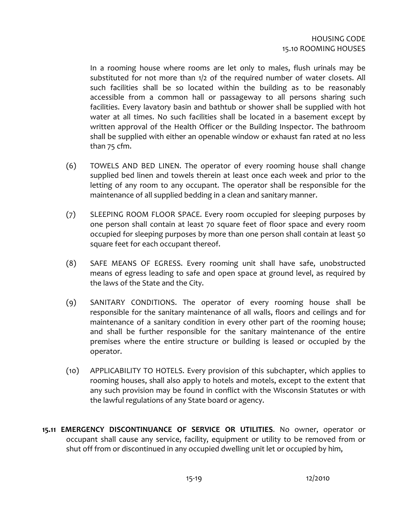<span id="page-18-0"></span>In a rooming house where rooms are let only to males, flush urinals may be substituted for not more than 1/2 of the required number of water closets. All such facilities shall be so located within the building as to be reasonably accessible from a common hall or passageway to all persons sharing such facilities. Every lavatory basin and bathtub or shower shall be supplied with hot water at all times. No such facilities shall be located in a basement except by written approval of the Health Officer or the Building Inspector. The bathroom shall be supplied with either an openable window or exhaust fan rated at no less than 75 cfm.

- (6) TOWELS AND BED LINEN. The operator of every rooming house shall change supplied bed linen and towels therein at least once each week and prior to the letting of any room to any occupant. The operator shall be responsible for the maintenance of all supplied bedding in a clean and sanitary manner.
- (7) SLEEPING ROOM FLOOR SPACE. Every room occupied for sleeping purposes by one person shall contain at least 70 square feet of floor space and every room occupied for sleeping purposes by more than one person shall contain at least 50 square feet for each occupant thereof.
- (8) SAFE MEANS OF EGRESS. Every rooming unit shall have safe, unobstructed means of egress leading to safe and open space at ground level, as required by the laws of the State and the City.
- (9) SANITARY CONDITIONS. The operator of every rooming house shall be responsible for the sanitary maintenance of all walls, floors and ceilings and for maintenance of a sanitary condition in every other part of the rooming house; and shall be further responsible for the sanitary maintenance of the entire premises where the entire structure or building is leased or occupied by the operator.
- (10) APPLICABILITY TO HOTELS. Every provision of this subchapter, which applies to rooming houses, shall also apply to hotels and motels, except to the extent that any such provision may be found in conflict with the Wisconsin Statutes or with the lawful regulations of any State board or agency.
- **15.11 EMERGENCY DISCONTINUANCE OF SERVICE OR UTILITIES**. No owner, operator or occupant shall cause any service, facility, equipment or utility to be removed from or shut off from or discontinued in any occupied dwelling unit let or occupied by him,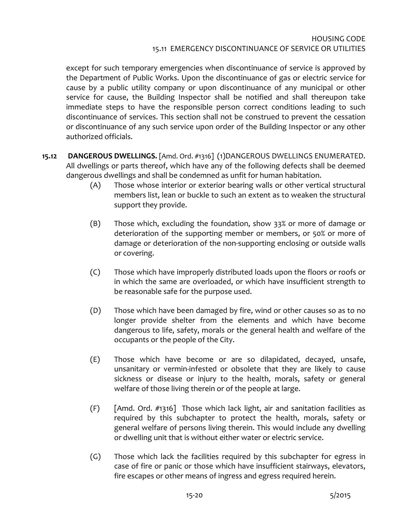#### HOUSING CODE 15.11 EMERGENCY DISCONTINUANCE OF SERVICE OR UTILITIES

<span id="page-19-0"></span>except for such temporary emergencies when discontinuance of service is approved by the Department of Public Works. Upon the discontinuance of gas or electric service for cause by a public utility company or upon discontinuance of any municipal or other service for cause, the Building Inspector shall be notified and shall thereupon take immediate steps to have the responsible person correct conditions leading to such discontinuance of services. This section shall not be construed to prevent the cessation or discontinuance of any such service upon order of the Building Inspector or any other authorized officials.

- **15.12 DANGEROUS DWELLINGS.** [Amd. Ord. #1316] (1)DANGEROUS DWELLINGS ENUMERATED. All dwellings or parts thereof, which have any of the following defects shall be deemed dangerous dwellings and shall be condemned as unfit for human habitation.
	- (A) Those whose interior or exterior bearing walls or other vertical structural members list, lean or buckle to such an extent as to weaken the structural support they provide.
	- (B) Those which, excluding the foundation, show 33% or more of damage or deterioration of the supporting member or members, or 50% or more of damage or deterioration of the non-supporting enclosing or outside walls or covering.
	- (C) Those which have improperly distributed loads upon the floors or roofs or in which the same are overloaded, or which have insufficient strength to be reasonable safe for the purpose used.
	- (D) Those which have been damaged by fire, wind or other causes so as to no longer provide shelter from the elements and which have become dangerous to life, safety, morals or the general health and welfare of the occupants or the people of the City.
	- (E) Those which have become or are so dilapidated, decayed, unsafe, unsanitary or vermin-infested or obsolete that they are likely to cause sickness or disease or injury to the health, morals, safety or general welfare of those living therein or of the people at large.
	- (F) [Amd. Ord. #1316] Those which lack light, air and sanitation facilities as required by this subchapter to protect the health, morals, safety or general welfare of persons living therein. This would include any dwelling or dwelling unit that is without either water or electric service.
	- (G) Those which lack the facilities required by this subchapter for egress in case of fire or panic or those which have insufficient stairways, elevators, fire escapes or other means of ingress and egress required herein.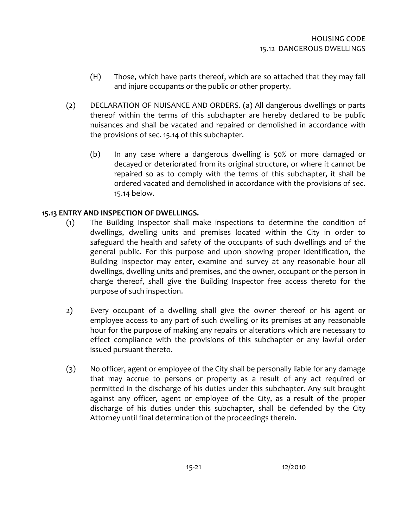- <span id="page-20-0"></span>(H) Those, which have parts thereof, which are so attached that they may fall and injure occupants or the public or other property.
- (2) DECLARATION OF NUISANCE AND ORDERS. (a) All dangerous dwellings or parts thereof within the terms of this subchapter are hereby declared to be public nuisances and shall be vacated and repaired or demolished in accordance with the provisions of sec. 15.14 of this subchapter.
	- (b) In any case where a dangerous dwelling is 50% or more damaged or decayed or deteriorated from its original structure, or where it cannot be repaired so as to comply with the terms of this subchapter, it shall be ordered vacated and demolished in accordance with the provisions of sec. 15.14 below.

## **15.13 ENTRY AND INSPECTION OF DWELLINGS.**

- (1) The Building Inspector shall make inspections to determine the condition of dwellings, dwelling units and premises located within the City in order to safeguard the health and safety of the occupants of such dwellings and of the general public. For this purpose and upon showing proper identification, the Building Inspector may enter, examine and survey at any reasonable hour all dwellings, dwelling units and premises, and the owner, occupant or the person in charge thereof, shall give the Building Inspector free access thereto for the purpose of such inspection.
- 2) Every occupant of a dwelling shall give the owner thereof or his agent or employee access to any part of such dwelling or its premises at any reasonable hour for the purpose of making any repairs or alterations which are necessary to effect compliance with the provisions of this subchapter or any lawful order issued pursuant thereto.
- (3) No officer, agent or employee of the City shall be personally liable for any damage that may accrue to persons or property as a result of any act required or permitted in the discharge of his duties under this subchapter. Any suit brought against any officer, agent or employee of the City, as a result of the proper discharge of his duties under this subchapter, shall be defended by the City Attorney until final determination of the proceedings therein.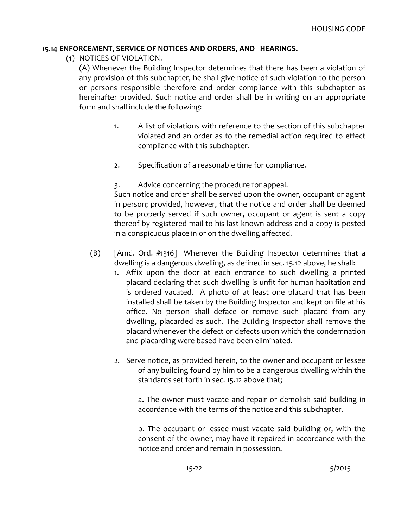#### <span id="page-21-0"></span>**15.14 ENFORCEMENT, SERVICE OF NOTICES AND ORDERS, AND HEARINGS.**

(1) NOTICES OF VIOLATION.

(A) Whenever the Building Inspector determines that there has been a violation of any provision of this subchapter, he shall give notice of such violation to the person or persons responsible therefore and order compliance with this subchapter as hereinafter provided. Such notice and order shall be in writing on an appropriate form and shall include the following:

- 1. A list of violations with reference to the section of this subchapter violated and an order as to the remedial action required to effect compliance with this subchapter.
- 2. Specification of a reasonable time for compliance.

3. Advice concerning the procedure for appeal.

Such notice and order shall be served upon the owner, occupant or agent in person; provided, however, that the notice and order shall be deemed to be properly served if such owner, occupant or agent is sent a copy thereof by registered mail to his last known address and a copy is posted in a conspicuous place in or on the dwelling affected.

- (B) [Amd. Ord. #1316] Whenever the Building Inspector determines that a dwelling is a dangerous dwelling, as defined in sec. 15.12 above, he shall:
	- 1. Affix upon the door at each entrance to such dwelling a printed placard declaring that such dwelling is unfit for human habitation and is ordered vacated. A photo of at least one placard that has been installed shall be taken by the Building Inspector and kept on file at his office. No person shall deface or remove such placard from any dwelling, placarded as such. The Building Inspector shall remove the placard whenever the defect or defects upon which the condemnation and placarding were based have been eliminated.
	- 2. Serve notice, as provided herein, to the owner and occupant or lessee of any building found by him to be a dangerous dwelling within the standards set forth in sec. 15.12 above that;

a. The owner must vacate and repair or demolish said building in accordance with the terms of the notice and this subchapter.

b. The occupant or lessee must vacate said building or, with the consent of the owner, may have it repaired in accordance with the notice and order and remain in possession.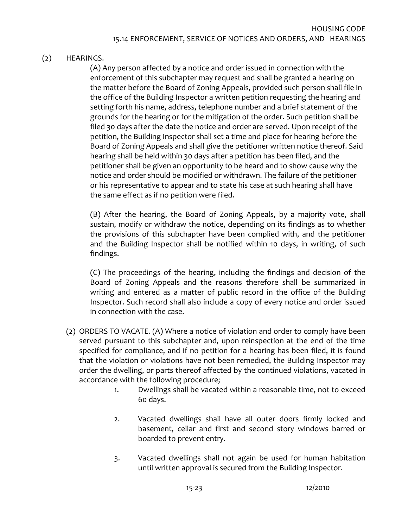# (2) HEARINGS.

(A) Any person affected by a notice and order issued in connection with the enforcement of this subchapter may request and shall be granted a hearing on the matter before the Board of Zoning Appeals, provided such person shall file in the office of the Building Inspector a written petition requesting the hearing and setting forth his name, address, telephone number and a brief statement of the grounds for the hearing or for the mitigation of the order. Such petition shall be filed 30 days after the date the notice and order are served. Upon receipt of the petition, the Building Inspector shall set a time and place for hearing before the Board of Zoning Appeals and shall give the petitioner written notice thereof. Said hearing shall be held within 30 days after a petition has been filed, and the petitioner shall be given an opportunity to be heard and to show cause why the notice and order should be modified or withdrawn. The failure of the petitioner or his representative to appear and to state his case at such hearing shall have the same effect as if no petition were filed.

(B) After the hearing, the Board of Zoning Appeals, by a majority vote, shall sustain, modify or withdraw the notice, depending on its findings as to whether the provisions of this subchapter have been complied with, and the petitioner and the Building Inspector shall be notified within 10 days, in writing, of such findings.

(C) The proceedings of the hearing, including the findings and decision of the Board of Zoning Appeals and the reasons therefore shall be summarized in writing and entered as a matter of public record in the office of the Building Inspector. Such record shall also include a copy of every notice and order issued in connection with the case.

- (2) ORDERS TO VACATE. (A) Where a notice of violation and order to comply have been served pursuant to this subchapter and, upon reinspection at the end of the time specified for compliance, and if no petition for a hearing has been filed, it is found that the violation or violations have not been remedied, the Building Inspector may order the dwelling, or parts thereof affected by the continued violations, vacated in accordance with the following procedure;
	- 1. Dwellings shall be vacated within a reasonable time, not to exceed 60 days.
	- 2. Vacated dwellings shall have all outer doors firmly locked and basement, cellar and first and second story windows barred or boarded to prevent entry.
	- 3. Vacated dwellings shall not again be used for human habitation until written approval is secured from the Building Inspector.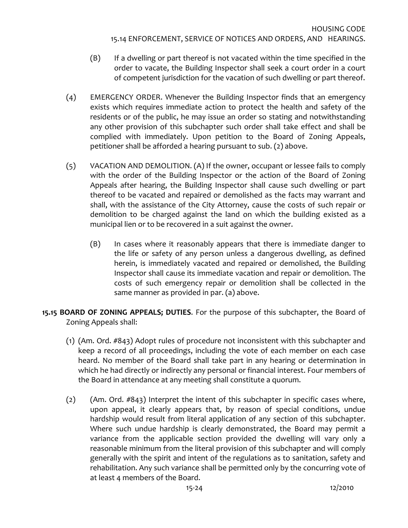- <span id="page-23-0"></span>(B) If a dwelling or part thereof is not vacated within the time specified in the order to vacate, the Building Inspector shall seek a court order in a court of competent jurisdiction for the vacation of such dwelling or part thereof.
- (4) EMERGENCY ORDER. Whenever the Building Inspector finds that an emergency exists which requires immediate action to protect the health and safety of the residents or of the public, he may issue an order so stating and notwithstanding any other provision of this subchapter such order shall take effect and shall be complied with immediately. Upon petition to the Board of Zoning Appeals, petitioner shall be afforded a hearing pursuant to sub. (2) above.
- (5) VACATION AND DEMOLITION. (A) If the owner, occupant or lessee fails to comply with the order of the Building Inspector or the action of the Board of Zoning Appeals after hearing, the Building Inspector shall cause such dwelling or part thereof to be vacated and repaired or demolished as the facts may warrant and shall, with the assistance of the City Attorney, cause the costs of such repair or demolition to be charged against the land on which the building existed as a municipal lien or to be recovered in a suit against the owner.
	- (B) In cases where it reasonably appears that there is immediate danger to the life or safety of any person unless a dangerous dwelling, as defined herein, is immediately vacated and repaired or demolished, the Building Inspector shall cause its immediate vacation and repair or demolition. The costs of such emergency repair or demolition shall be collected in the same manner as provided in par. (a) above.
- **15.15 BOARD OF ZONING APPEALS; DUTIES**. For the purpose of this subchapter, the Board of Zoning Appeals shall:
	- (1) (Am. Ord. #843) Adopt rules of procedure not inconsistent with this subchapter and keep a record of all proceedings, including the vote of each member on each case heard. No member of the Board shall take part in any hearing or determination in which he had directly or indirectly any personal or financial interest. Four members of the Board in attendance at any meeting shall constitute a quorum.
	- (2) (Am. Ord. #843) Interpret the intent of this subchapter in specific cases where, upon appeal, it clearly appears that, by reason of special conditions, undue hardship would result from literal application of any section of this subchapter. Where such undue hardship is clearly demonstrated, the Board may permit a variance from the applicable section provided the dwelling will vary only a reasonable minimum from the literal provision of this subchapter and will comply generally with the spirit and intent of the regulations as to sanitation, safety and rehabilitation. Any such variance shall be permitted only by the concurring vote of at least 4 members of the Board.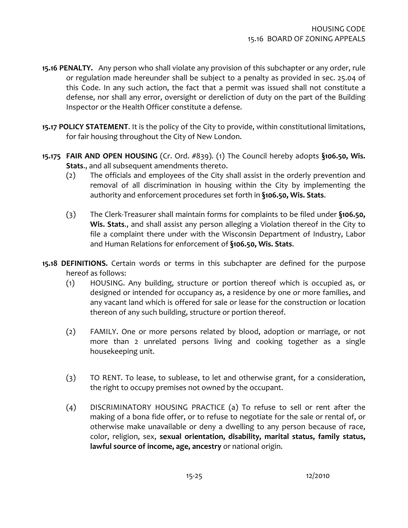- <span id="page-24-0"></span>**15.16 PENALTY.** Any person who shall violate any provision of this subchapter or any order, rule or regulation made hereunder shall be subject to a penalty as provided in sec. 25.04 of this Code. In any such action, the fact that a permit was issued shall not constitute a defense, nor shall any error, oversight or dereliction of duty on the part of the Building Inspector or the Health Officer constitute a defense.
- **15.17 POLICY STATEMENT**. It is the policy of the City to provide, within constitutional limitations, for fair housing throughout the City of New London.
- **15.175 FAIR AND OPEN HOUSING** (Cr. Ord. #839). (1) The Council hereby adopts **§106.50, Wis. Stats**., and all subsequent amendments thereto.
	- (2) The officials and employees of the City shall assist in the orderly prevention and removal of all discrimination in housing within the City by implementing the authority and enforcement procedures set forth in **§106.50, Wis. Stats**.
	- (3) The Clerk-Treasurer shall maintain forms for complaints to be filed under **§106.50, Wis. Stats**., and shall assist any person alleging a Violation thereof in the City to file a complaint there under with the Wisconsin Department of Industry, Labor and Human Relations for enforcement of **§106.50, Wis. Stats**.
- **15.18 DEFINITIONS.** Certain words or terms in this subchapter are defined for the purpose hereof as follows:
	- (1) HOUSING. Any building, structure or portion thereof which is occupied as, or designed or intended for occupancy as, a residence by one or more families, and any vacant land which is offered for sale or lease for the construction or location thereon of any such building, structure or portion thereof.
	- (2) FAMILY. One or more persons related by blood, adoption or marriage, or not more than 2 unrelated persons living and cooking together as a single housekeeping unit.
	- (3) TO RENT. To lease, to sublease, to let and otherwise grant, for a consideration, the right to occupy premises not owned by the occupant.
	- (4) DISCRIMINATORY HOUSING PRACTICE (a) To refuse to sell or rent after the making of a bona fide offer, or to refuse to negotiate for the sale or rental of, or otherwise make unavailable or deny a dwelling to any person because of race, color, religion, sex, **sexual orientation, disability, marital status, family status, lawful source of income, age, ancestry** or national origin.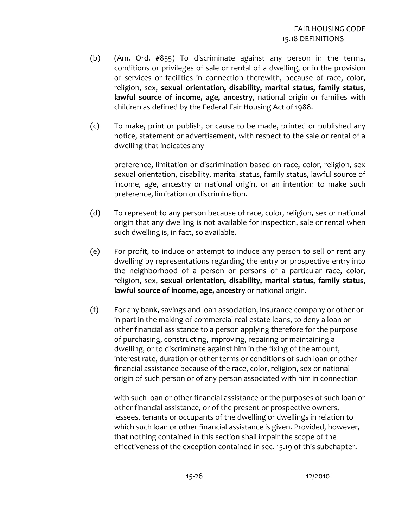- (b) (Am. Ord. #855) To discriminate against any person in the terms, conditions or privileges of sale or rental of a dwelling, or in the provision of services or facilities in connection therewith, because of race, color, religion, sex, **sexual orientation, disability, marital status, family status, lawful source of income, age, ancestry**, national origin or families with children as defined by the Federal Fair Housing Act of 1988.
- (c) To make, print or publish, or cause to be made, printed or published any notice, statement or advertisement, with respect to the sale or rental of a dwelling that indicates any

preference, limitation or discrimination based on race, color, religion, sex sexual orientation, disability, marital status, family status, lawful source of income, age, ancestry or national origin, or an intention to make such preference, limitation or discrimination.

- (d) To represent to any person because of race, color, religion, sex or national origin that any dwelling is not available for inspection, sale or rental when such dwelling is, in fact, so available.
- (e) For profit, to induce or attempt to induce any person to sell or rent any dwelling by representations regarding the entry or prospective entry into the neighborhood of a person or persons of a particular race, color, religion, sex, **sexual orientation, disability, marital status, family status, lawful source of income, age, ancestry** or national origin.
- (f) For any bank, savings and loan association, insurance company or other or in part in the making of commercial real estate loans, to deny a loan or other financial assistance to a person applying therefore for the purpose of purchasing, constructing, improving, repairing or maintaining a dwelling, or to discriminate against him in the fixing of the amount, interest rate, duration or other terms or conditions of such loan or other financial assistance because of the race, color, religion, sex or national origin of such person or of any person associated with him in connection

with such loan or other financial assistance or the purposes of such loan or other financial assistance, or of the present or prospective owners, lessees, tenants or occupants of the dwelling or dwellings in relation to which such loan or other financial assistance is given. Provided, however, that nothing contained in this section shall impair the scope of the effectiveness of the exception contained in sec. 15.19 of this subchapter.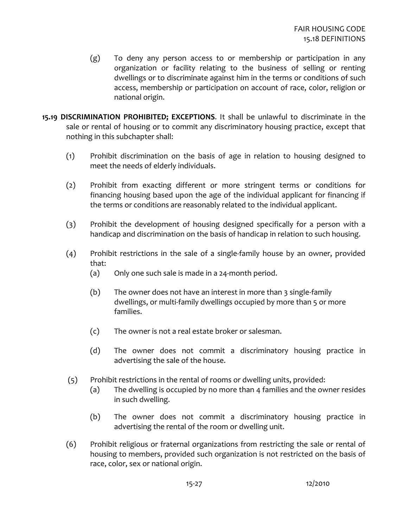- <span id="page-26-0"></span>(g) To deny any person access to or membership or participation in any organization or facility relating to the business of selling or renting dwellings or to discriminate against him in the terms or conditions of such access, membership or participation on account of race, color, religion or national origin.
- **15.19 DISCRIMINATION PROHIBITED; EXCEPTIONS**. It shall be unlawful to discriminate in the sale or rental of housing or to commit any discriminatory housing practice, except that nothing in this subchapter shall:
	- (1) Prohibit discrimination on the basis of age in relation to housing designed to meet the needs of elderly individuals.
	- (2) Prohibit from exacting different or more stringent terms or conditions for financing housing based upon the age of the individual applicant for financing if the terms or conditions are reasonably related to the individual applicant.
	- (3) Prohibit the development of housing designed specifically for a person with a handicap and discrimination on the basis of handicap in relation to such housing.
	- (4) Prohibit restrictions in the sale of a single-family house by an owner, provided that:
		- (a) Only one such sale is made in a 24-month period.
		- (b) The owner does not have an interest in more than 3 single-family dwellings, or multi-family dwellings occupied by more than 5 or more families.
		- (c) The owner is not a real estate broker or salesman.
		- (d) The owner does not commit a discriminatory housing practice in advertising the sale of the house.
	- (5) Prohibit restrictions in the rental of rooms or dwelling units, provided:
		- (a) The dwelling is occupied by no more than 4 families and the owner resides in such dwelling.
		- (b) The owner does not commit a discriminatory housing practice in advertising the rental of the room or dwelling unit.
	- (6) Prohibit religious or fraternal organizations from restricting the sale or rental of housing to members, provided such organization is not restricted on the basis of race, color, sex or national origin.